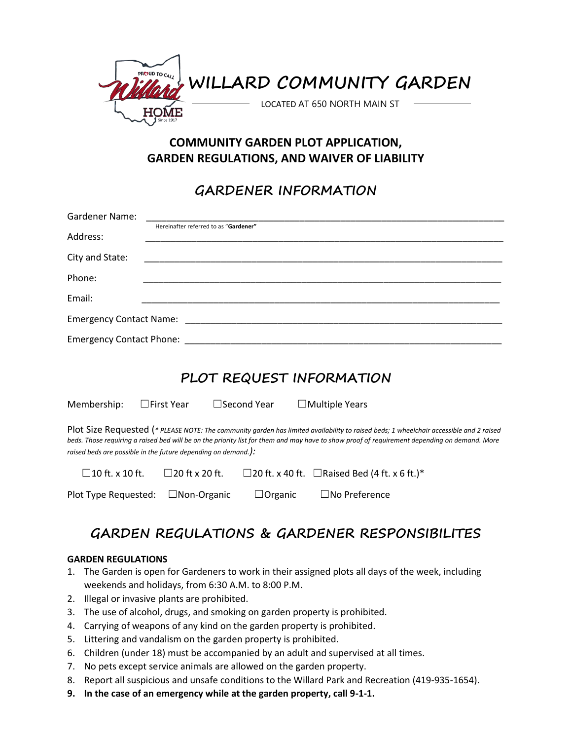

## **COMMUNITY GARDEN PLOT APPLICATION, GARDEN REGULATIONS, AND WAIVER OF LIABILITY**

# **GARDENER INFORMATION**

| <b>Gardener Name:</b>                                                                                                                                                                                                                                                                                                                                   |                                                                      |  |  |
|---------------------------------------------------------------------------------------------------------------------------------------------------------------------------------------------------------------------------------------------------------------------------------------------------------------------------------------------------------|----------------------------------------------------------------------|--|--|
| Address:                                                                                                                                                                                                                                                                                                                                                | Hereinafter referred to as "Gardener"                                |  |  |
| City and State:                                                                                                                                                                                                                                                                                                                                         |                                                                      |  |  |
| Phone:                                                                                                                                                                                                                                                                                                                                                  |                                                                      |  |  |
| Email:                                                                                                                                                                                                                                                                                                                                                  |                                                                      |  |  |
|                                                                                                                                                                                                                                                                                                                                                         |                                                                      |  |  |
| Emergency Contact Phone: National Contract Phone Service Contract Phone Service Contract Phone Service Contract Phone Service Contract Phone Service Contract Phone Service Contract Phone Service Contract Phone Service Cont                                                                                                                          |                                                                      |  |  |
| PLOT REQUEST INFORMATION<br>$\Box$ Second Year<br>Membership:<br>$\Box$ First Year<br>$\Box$ Multiple Years                                                                                                                                                                                                                                             |                                                                      |  |  |
| Plot Size Requested (* PLEASE NOTE: The community garden has limited availability to raised beds; 1 wheelchair accessible and 2 raised<br>beds. Those requiring a raised bed will be on the priority list for them and may have to show proof of requirement depending on demand. More<br>raised beds are possible in the future depending on demand.): |                                                                      |  |  |
| $\Box$ 10 ft. x 10 ft.                                                                                                                                                                                                                                                                                                                                  | $□$ 20 ft x 20 ft.<br>□20 ft. x 40 ft. □ Raised Bed (4 ft. x 6 ft.)* |  |  |
| Plot Type Requested:                                                                                                                                                                                                                                                                                                                                    | □Non-Organic<br>$\Box$ No Preference<br>$\Box$ Organic               |  |  |

# **GARDEN REGULATIONS & GARDENER RESPONSIBILITES**

## **GARDEN REGULATIONS**

- 1. The Garden is open for Gardeners to work in their assigned plots all days of the week, including weekends and holidays, from 6:30 A.M. to 8:00 P.M.
- 2. Illegal or invasive plants are prohibited.
- 3. The use of alcohol, drugs, and smoking on garden property is prohibited.
- 4. Carrying of weapons of any kind on the garden property is prohibited.
- 5. Littering and vandalism on the garden property is prohibited.
- 6. Children (under 18) must be accompanied by an adult and supervised at all times.
- 7. No pets except service animals are allowed on the garden property.
- 8. Report all suspicious and unsafe conditions to the Willard Park and Recreation (419-935-1654).
- **9. In the case of an emergency while at the garden property, call 9-1-1.**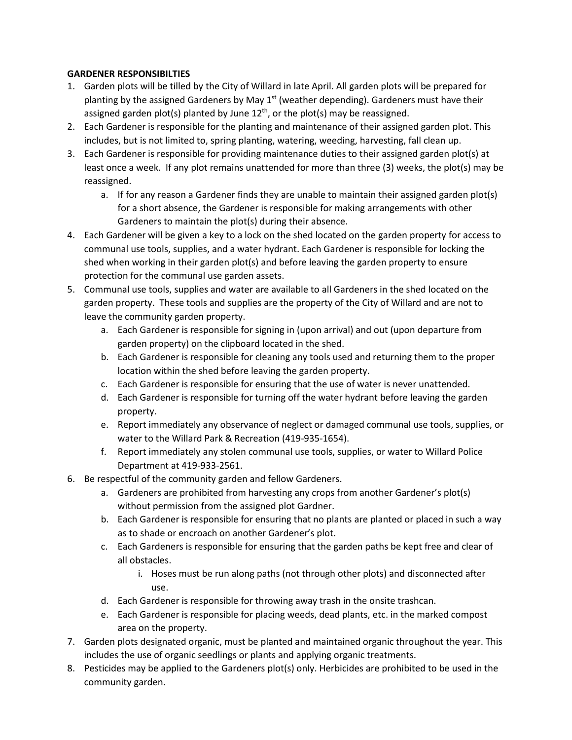## **GARDENER RESPONSIBILTIES**

- 1. Garden plots will be tilled by the City of Willard in late April. All garden plots will be prepared for planting by the assigned Gardeners by May  $1<sup>st</sup>$  (weather depending). Gardeners must have their assigned garden plot(s) planted by June 12<sup>th</sup>, or the plot(s) may be reassigned.
- 2. Each Gardener is responsible for the planting and maintenance of their assigned garden plot. This includes, but is not limited to, spring planting, watering, weeding, harvesting, fall clean up.
- 3. Each Gardener is responsible for providing maintenance duties to their assigned garden plot(s) at least once a week. If any plot remains unattended for more than three (3) weeks, the plot(s) may be reassigned.
	- a. If for any reason a Gardener finds they are unable to maintain their assigned garden plot(s) for a short absence, the Gardener is responsible for making arrangements with other Gardeners to maintain the plot(s) during their absence.
- 4. Each Gardener will be given a key to a lock on the shed located on the garden property for access to communal use tools, supplies, and a water hydrant. Each Gardener is responsible for locking the shed when working in their garden plot(s) and before leaving the garden property to ensure protection for the communal use garden assets.
- 5. Communal use tools, supplies and water are available to all Gardeners in the shed located on the garden property. These tools and supplies are the property of the City of Willard and are not to leave the community garden property.
	- a. Each Gardener is responsible for signing in (upon arrival) and out (upon departure from garden property) on the clipboard located in the shed.
	- b. Each Gardener is responsible for cleaning any tools used and returning them to the proper location within the shed before leaving the garden property.
	- c. Each Gardener is responsible for ensuring that the use of water is never unattended.
	- d. Each Gardener is responsible for turning off the water hydrant before leaving the garden property.
	- e. Report immediately any observance of neglect or damaged communal use tools, supplies, or water to the Willard Park & Recreation (419-935-1654).
	- f. Report immediately any stolen communal use tools, supplies, or water to Willard Police Department at 419-933-2561.
- 6. Be respectful of the community garden and fellow Gardeners.
	- a. Gardeners are prohibited from harvesting any crops from another Gardener's plot(s) without permission from the assigned plot Gardner.
	- b. Each Gardener is responsible for ensuring that no plants are planted or placed in such a way as to shade or encroach on another Gardener's plot.
	- c. Each Gardeners is responsible for ensuring that the garden paths be kept free and clear of all obstacles.
		- i. Hoses must be run along paths (not through other plots) and disconnected after use.
	- d. Each Gardener is responsible for throwing away trash in the onsite trashcan.
	- e. Each Gardener is responsible for placing weeds, dead plants, etc. in the marked compost area on the property.
- 7. Garden plots designated organic, must be planted and maintained organic throughout the year. This includes the use of organic seedlings or plants and applying organic treatments.
- 8. Pesticides may be applied to the Gardeners plot(s) only. Herbicides are prohibited to be used in the community garden.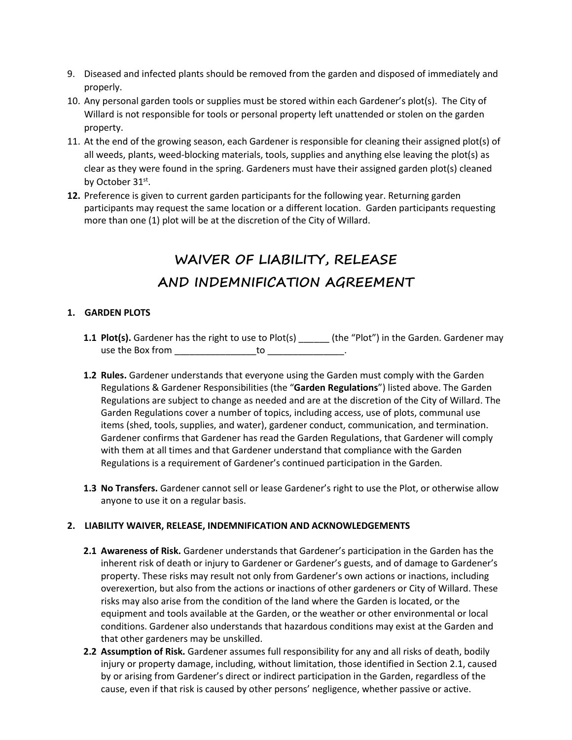- 9. Diseased and infected plants should be removed from the garden and disposed of immediately and properly.
- 10. Any personal garden tools or supplies must be stored within each Gardener's plot(s). The City of Willard is not responsible for tools or personal property left unattended or stolen on the garden property.
- 11. At the end of the growing season, each Gardener is responsible for cleaning their assigned plot(s) of all weeds, plants, weed-blocking materials, tools, supplies and anything else leaving the plot(s) as clear as they were found in the spring. Gardeners must have their assigned garden plot(s) cleaned by October 31<sup>st</sup>.
- **12.** Preference is given to current garden participants for the following year. Returning garden participants may request the same location or a different location. Garden participants requesting more than one (1) plot will be at the discretion of the City of Willard.

# **WAIVER OF LIABILITY, RELEASE AND INDEMNIFICATION AGREEMENT**

## **1. GARDEN PLOTS**

- **1.1 Plot(s).** Gardener has the right to use to Plot(s) \_\_\_\_\_\_ (the "Plot") in the Garden. Gardener may use the Box from \_\_\_\_\_\_\_\_\_\_\_\_\_\_\_\_\_\_\_to \_\_\_\_\_\_\_\_\_\_\_\_\_\_.
- **1.2 Rules.** Gardener understands that everyone using the Garden must comply with the Garden Regulations & Gardener Responsibilities (the "**Garden Regulations**") listed above. The Garden Regulations are subject to change as needed and are at the discretion of the City of Willard. The Garden Regulations cover a number of topics, including access, use of plots, communal use items (shed, tools, supplies, and water), gardener conduct, communication, and termination. Gardener confirms that Gardener has read the Garden Regulations, that Gardener will comply with them at all times and that Gardener understand that compliance with the Garden Regulations is a requirement of Gardener's continued participation in the Garden.
- **1.3 No Transfers.** Gardener cannot sell or lease Gardener's right to use the Plot, or otherwise allow anyone to use it on a regular basis.

### **2. LIABILITY WAIVER, RELEASE, INDEMNIFICATION AND ACKNOWLEDGEMENTS**

- **2.1 Awareness of Risk.** Gardener understands that Gardener's participation in the Garden has the inherent risk of death or injury to Gardener or Gardener's guests, and of damage to Gardener's property. These risks may result not only from Gardener's own actions or inactions, including overexertion, but also from the actions or inactions of other gardeners or City of Willard. These risks may also arise from the condition of the land where the Garden is located, or the equipment and tools available at the Garden, or the weather or other environmental or local conditions. Gardener also understands that hazardous conditions may exist at the Garden and that other gardeners may be unskilled.
- **2.2 Assumption of Risk.** Gardener assumes full responsibility for any and all risks of death, bodily injury or property damage, including, without limitation, those identified in Section 2.1, caused by or arising from Gardener's direct or indirect participation in the Garden, regardless of the cause, even if that risk is caused by other persons' negligence, whether passive or active.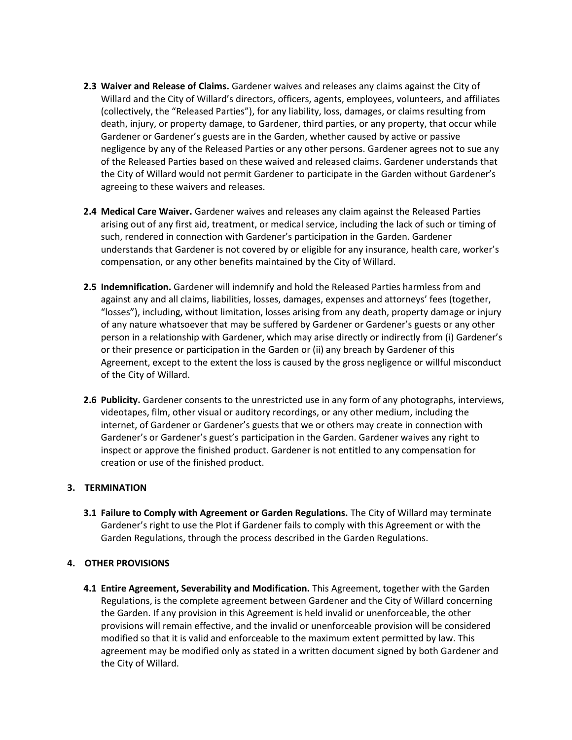- **2.3 Waiver and Release of Claims.** Gardener waives and releases any claims against the City of Willard and the City of Willard's directors, officers, agents, employees, volunteers, and affiliates (collectively, the "Released Parties"), for any liability, loss, damages, or claims resulting from death, injury, or property damage, to Gardener, third parties, or any property, that occur while Gardener or Gardener's guests are in the Garden, whether caused by active or passive negligence by any of the Released Parties or any other persons. Gardener agrees not to sue any of the Released Parties based on these waived and released claims. Gardener understands that the City of Willard would not permit Gardener to participate in the Garden without Gardener's agreeing to these waivers and releases.
- **2.4 Medical Care Waiver.** Gardener waives and releases any claim against the Released Parties arising out of any first aid, treatment, or medical service, including the lack of such or timing of such, rendered in connection with Gardener's participation in the Garden. Gardener understands that Gardener is not covered by or eligible for any insurance, health care, worker's compensation, or any other benefits maintained by the City of Willard.
- **2.5 Indemnification.** Gardener will indemnify and hold the Released Parties harmless from and against any and all claims, liabilities, losses, damages, expenses and attorneys' fees (together, "losses"), including, without limitation, losses arising from any death, property damage or injury of any nature whatsoever that may be suffered by Gardener or Gardener's guests or any other person in a relationship with Gardener, which may arise directly or indirectly from (i) Gardener's or their presence or participation in the Garden or (ii) any breach by Gardener of this Agreement, except to the extent the loss is caused by the gross negligence or willful misconduct of the City of Willard.
- **2.6 Publicity.** Gardener consents to the unrestricted use in any form of any photographs, interviews, videotapes, film, other visual or auditory recordings, or any other medium, including the internet, of Gardener or Gardener's guests that we or others may create in connection with Gardener's or Gardener's guest's participation in the Garden. Gardener waives any right to inspect or approve the finished product. Gardener is not entitled to any compensation for creation or use of the finished product.

### **3. TERMINATION**

**3.1 Failure to Comply with Agreement or Garden Regulations.** The City of Willard may terminate Gardener's right to use the Plot if Gardener fails to comply with this Agreement or with the Garden Regulations, through the process described in the Garden Regulations.

### **4. OTHER PROVISIONS**

**4.1 Entire Agreement, Severability and Modification.** This Agreement, together with the Garden Regulations, is the complete agreement between Gardener and the City of Willard concerning the Garden. If any provision in this Agreement is held invalid or unenforceable, the other provisions will remain effective, and the invalid or unenforceable provision will be considered modified so that it is valid and enforceable to the maximum extent permitted by law. This agreement may be modified only as stated in a written document signed by both Gardener and the City of Willard.